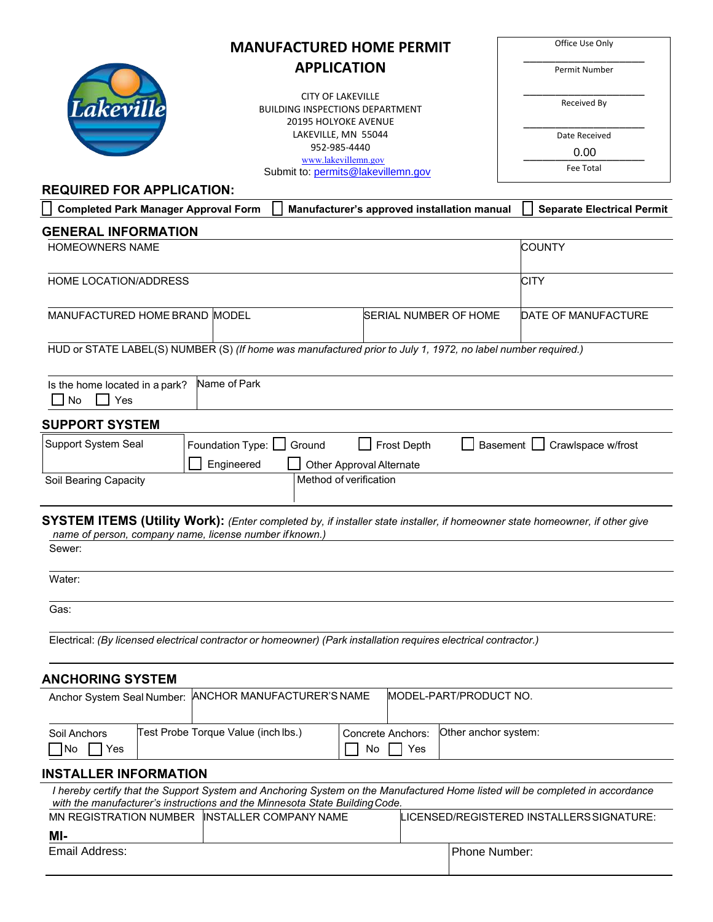| <b>MANUFACTURED HOME PERMIT</b>                                                                                                                                                        |                  |                                                    |                          |                                 | Office Use Only                             |                                           |
|----------------------------------------------------------------------------------------------------------------------------------------------------------------------------------------|------------------|----------------------------------------------------|--------------------------|---------------------------------|---------------------------------------------|-------------------------------------------|
| <b>APPLICATION</b>                                                                                                                                                                     |                  |                                                    |                          |                                 | Permit Number                               |                                           |
|                                                                                                                                                                                        |                  | <b>CITY OF LAKEVILLE</b>                           |                          |                                 |                                             |                                           |
| Lakeville<br><b>BUILDING INSPECTIONS DEPARTMENT</b>                                                                                                                                    |                  |                                                    |                          | Received By                     |                                             |                                           |
|                                                                                                                                                                                        |                  | <b>20195 HOLYOKE AVENUE</b><br>LAKEVILLE, MN 55044 |                          |                                 |                                             | Date Received                             |
|                                                                                                                                                                                        |                  | 952-985-4440                                       |                          |                                 |                                             | 0.00                                      |
| www.lakevillemn.gov<br>Submit to: permits@lakevillemn.gov                                                                                                                              |                  |                                                    |                          | <b>Fee Total</b>                |                                             |                                           |
| <b>REQUIRED FOR APPLICATION:</b>                                                                                                                                                       |                  |                                                    |                          |                                 |                                             |                                           |
| <b>Completed Park Manager Approval Form</b>                                                                                                                                            |                  |                                                    |                          |                                 | Manufacturer's approved installation manual | <b>Separate Electrical Permit</b>         |
| <b>GENERAL INFORMATION</b>                                                                                                                                                             |                  |                                                    |                          |                                 |                                             |                                           |
| <b>HOMEOWNERS NAME</b>                                                                                                                                                                 |                  |                                                    |                          |                                 |                                             | <b>COUNTY</b>                             |
| HOME LOCATION/ADDRESS                                                                                                                                                                  |                  |                                                    |                          |                                 |                                             | <b>CITY</b>                               |
| MANUFACTURED HOME BRAND MODEL<br><b>SERIAL NUMBER OF HOME</b>                                                                                                                          |                  |                                                    |                          |                                 | DATE OF MANUFACTURE                         |                                           |
| HUD or STATE LABEL(S) NUMBER (S) (If home was manufactured prior to July 1, 1972, no label number required.)                                                                           |                  |                                                    |                          |                                 |                                             |                                           |
| Is the home located in a park?<br><b>No</b><br>Yes                                                                                                                                     | Name of Park     |                                                    |                          |                                 |                                             |                                           |
| <b>SUPPORT SYSTEM</b>                                                                                                                                                                  |                  |                                                    |                          |                                 |                                             |                                           |
| Support System Seal                                                                                                                                                                    | Foundation Type: | Ground                                             |                          | Frost Depth                     | <b>Basement</b>                             | Crawlspace w/frost                        |
|                                                                                                                                                                                        | Engineered       |                                                    | Other Approval Alternate |                                 |                                             |                                           |
| Soil Bearing Capacity                                                                                                                                                                  |                  | Method of verification                             |                          |                                 |                                             |                                           |
|                                                                                                                                                                                        |                  |                                                    |                          |                                 |                                             |                                           |
| SYSTEM ITEMS (Utility Work): (Enter completed by, if installer state installer, if homeowner state homeowner, if other give<br>name of person, company name, license number if known.) |                  |                                                    |                          |                                 |                                             |                                           |
| Sewer:                                                                                                                                                                                 |                  |                                                    |                          |                                 |                                             |                                           |
| Water:                                                                                                                                                                                 |                  |                                                    |                          |                                 |                                             |                                           |
| Gas:                                                                                                                                                                                   |                  |                                                    |                          |                                 |                                             |                                           |
| Electrical: (By licensed electrical contractor or homeowner) (Park installation requires electrical contractor.)                                                                       |                  |                                                    |                          |                                 |                                             |                                           |
| <b>ANCHORING SYSTEM</b>                                                                                                                                                                |                  |                                                    |                          |                                 |                                             |                                           |
| Anchor System Seal Number:                                                                                                                                                             |                  | ANCHOR MANUFACTURER'S NAME                         |                          |                                 | <b>IMODEL-PART/PRODUCT NO.</b>              |                                           |
| Test Probe Torque Value (inch lbs.)<br>Soil Anchors<br>No<br>Yes                                                                                                                       |                  |                                                    | No                       | <b>Concrete Anchors:</b><br>Yes | Other anchor system:                        |                                           |
| <b>INSTALLER INFORMATION</b>                                                                                                                                                           |                  |                                                    |                          |                                 |                                             |                                           |
| I hereby certify that the Support System and Anchoring System on the Manufactured Home listed will be completed in accordance                                                          |                  |                                                    |                          |                                 |                                             |                                           |
| with the manufacturer's instructions and the Minnesota State Building Code.                                                                                                            |                  |                                                    |                          |                                 |                                             |                                           |
| MN REGISTRATION NUMBER  INSTALLER COMPANY NAME<br>MI-                                                                                                                                  |                  |                                                    |                          |                                 |                                             | LICENSED/REGISTERED INSTALLERS SIGNATURE: |
| Email Address:                                                                                                                                                                         |                  |                                                    |                          |                                 | Phone Number:                               |                                           |